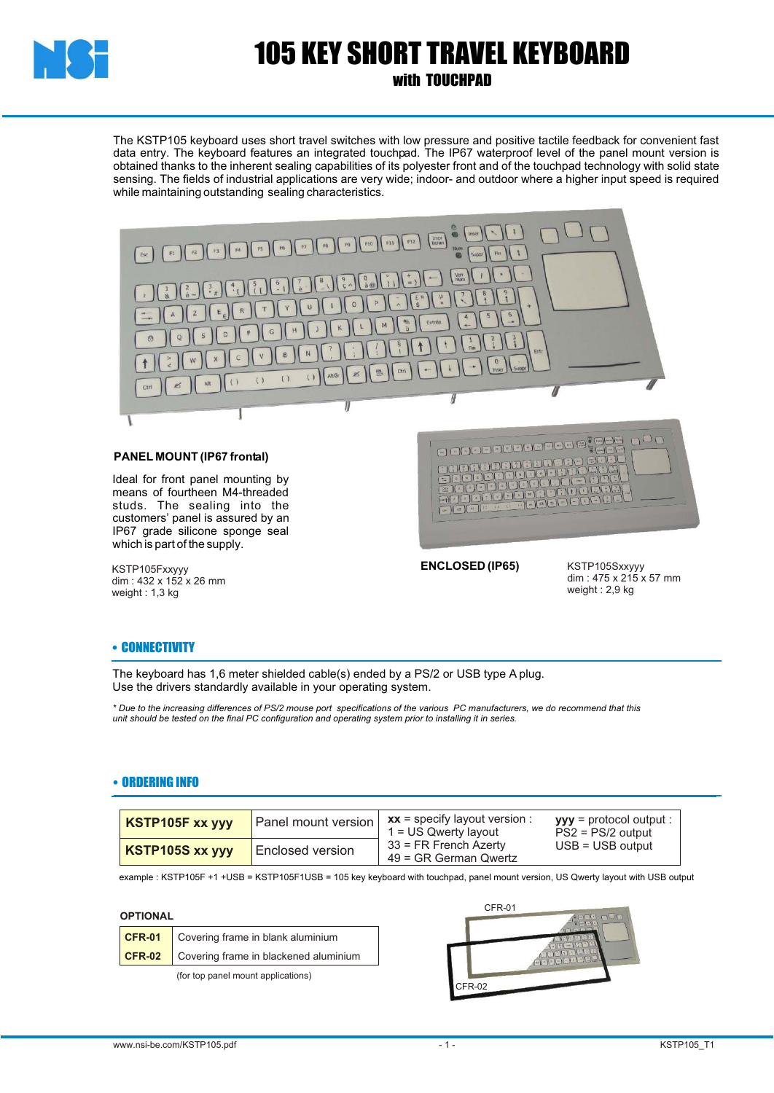

# 105 KEY SHORT TRAVEL KEYBOARD

### with TOUCHPAD

The KSTP105 keyboard uses short travel switches with low pressure and positive tactile feedback for convenient fast data entry. The keyboard features an integrated touchpad. The IP67 waterproof level of the panel mount version is obtained thanks to the inherent sealing capabilities of its polyester front and of the touchpad technology with solid state sensing. The fields of industrial applications are very wide; indoor- and outdoor where a higher input speed is required while maintaining outstanding sealing characteristics.



#### **PANEL MOUNT (IP67 frontal)**

Ideal for front panel mounting by means of fourtheen M4-threaded studs. The sealing into the customers' panel is assured by an IP67 grade silicone sponge seal which is part of the supply.

KSTP105Fxxyyy dim : 432 x 152 x 26 mm weight : 1,3 kg



**ENCLOSED (IP65)**

KSTP105Sxxyyy dim : 475 x 215 x 57 mm weight : 2,9 kg

#### • CONNECTIVITY

The keyboard has 1,6 meter shielded cable(s) ended by a PS/2 or USB type A plug. Use the drivers standardly available in your operating system.

*\* Due to the increasing differences of PS/2 mouse port specifications of the various PC manufacturers, we do recommend that this unit should be tested on the final PC configuration and operating system prior to installing it in series.*

#### • ORDERING INFO

| KSTP105F xx yyy | Panel mount version | $xx =$ specify layout version :<br>$1 = US$ Qwerty layout<br>$33$ = FR French Azerty<br>49 = GR German Qwertz | $yyy =$ protocol output :<br>$PS2 = PS/2$ output |
|-----------------|---------------------|---------------------------------------------------------------------------------------------------------------|--------------------------------------------------|
| KSTP105S xx yyy | Enclosed version    |                                                                                                               | $USB = USB$ output                               |

example : KSTP105F +1 +USB = KSTP105F1USB = 105 key keyboard with touchpad, panel mount version, US Qwerty layout with USB output

#### **OPTIONAL**

| CFR-01 Covering frame in blank aluminium            |  |
|-----------------------------------------------------|--|
| <b>CFR-02</b> Covering frame in blackened aluminium |  |

(for top panel mount applications)